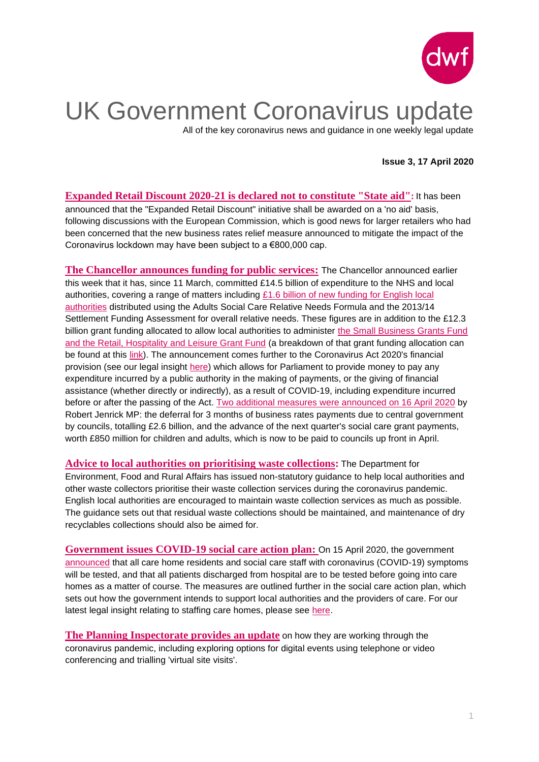

## UK Government Coronavirus update

All of the key coronavirus news and guidance in one weekly legal update

#### **Issue 3, 17 April 2020**

**[Expanded Retail Discount 2020-21 is declared not to constitute "State aid"](https://www.dwf.law/en/Legal-Insights/2020/April/Expanded-Retail-Discount-is-declared-not-to-constitute-State-aid):** It has been announced that the "Expanded Retail Discount" initiative shall be awarded on a 'no aid' basis, following discussions with the European Commission, which is good news for larger retailers who had been concerned that the new business rates relief measure announced to mitigate the impact of the Coronavirus lockdown may have been subject to a €800,000 cap.

**[The Chancellor announces funding for public services:](https://www.gov.uk/government/news/chancellor-provides-over-14-billion-for-our-nhs-and-vital-public-services)** The Chancellor announced earlier this week that it has, since 11 March, committed £14.5 billion of expenditure to the NHS and local authorities, covering a range of matters including [£1.6 billion of new funding for English local](https://assets.publishing.service.gov.uk/government/uploads/system/uploads/attachment_data/file/876273/Covid-19_additional_funding_allocations.pdf)  [authorities](https://assets.publishing.service.gov.uk/government/uploads/system/uploads/attachment_data/file/876273/Covid-19_additional_funding_allocations.pdf) distributed using the Adults Social Care Relative Needs Formula and the 2013/14 Settlement Funding Assessment for overall relative needs. These figures are in addition to the £12.3 billion grant funding allocated to allow local authorities to administer [the Small Business Grants Fund](https://www.gov.uk/government/news/high-street-benefits-from-22-billion-grants-and-business-rates-package)  [and the Retail, Hospitality and Leisure Grant Fund](https://www.gov.uk/government/news/high-street-benefits-from-22-billion-grants-and-business-rates-package) (a breakdown of that grant funding allocation can be found at this [link\)](https://assets.publishing.service.gov.uk/government/uploads/system/uploads/attachment_data/file/878207/local-authority-allocations.csv/preview). The announcement comes further to the Coronavirus Act 2020's financial provision (see our legal insight [here\)](https://www.dwf.law/Legal-Insights/2020/March/The-impact-of-the-Coronavirus-Act-2020-on-public-services) which allows for Parliament to provide money to pay any expenditure incurred by a public authority in the making of payments, or the giving of financial assistance (whether directly or indirectly), as a result of COVID-19, including expenditure incurred before or after the passing of the Act. [Two additional measures were announced on 16 April 2020](https://www.gov.uk/government/news/councils-given-greater-financial-relief-against-cash-flow-pressures) by Robert Jenrick MP: the deferral for 3 months of business rates payments due to central government by councils, totalling £2.6 billion, and the advance of the next quarter's social care grant payments, worth £850 million for children and adults, which is now to be paid to councils up front in April.

**[Advice to local authorities on prioritising waste collections:](https://www.gov.uk/government/publications/coronavirus-covid-19-advice-to-local-authorities-on-prioritising-waste-collections/guidance-on-prioritising-waste-collection-services-during-coronavirus-covid-19-pandemic)** The Department for Environment, Food and Rural Affairs has issued non-statutory guidance to help local authorities and other waste collectors prioritise their waste collection services during the coronavirus pandemic. English local authorities are encouraged to maintain waste collection services as much as possible. The guidance sets out that residual waste collections should be maintained, and maintenance of dry recyclables collections should also be aimed for.

**[Government issues COVID-19 social care action plan:](https://assets.publishing.service.gov.uk/government/uploads/system/uploads/attachment_data/file/879639/covid-19-adult-social-care-action-plan.pdf)** On 15 April 2020, the government [announced](https://www.gov.uk/government/news/government-to-offer-testing-for-everyone-who-needs-one-in-social-care-settings) that all care home residents and social care staff with coronavirus (COVID-19) symptoms will be tested, and that all patients discharged from hospital are to be tested before going into care homes as a matter of course. The measures are outlined further in the [social care action plan,](https://assets.publishing.service.gov.uk/government/uploads/system/uploads/attachment_data/file/879639/covid-19-adult-social-care-action-plan.pdf) which sets out how the government intends to support local authorities and the providers of care. For our latest legal insight relating to staffing care homes, please see [here.](https://www.dwf.law/en/Legal-Insights/2020/April/COVID-19-Update-for-Care-Homes-Maintaining-care-home-staffing-levels-during-the-current-pandemic)

**[The Planning Inspectorate provides](https://www.gov.uk/government/news/planning-inspectorate-coronavirus-covid-19-update-16-april-2020) an update** on how they are working through the coronavirus pandemic, including exploring options for digital events using telephone or video conferencing and trialling 'virtual site visits'.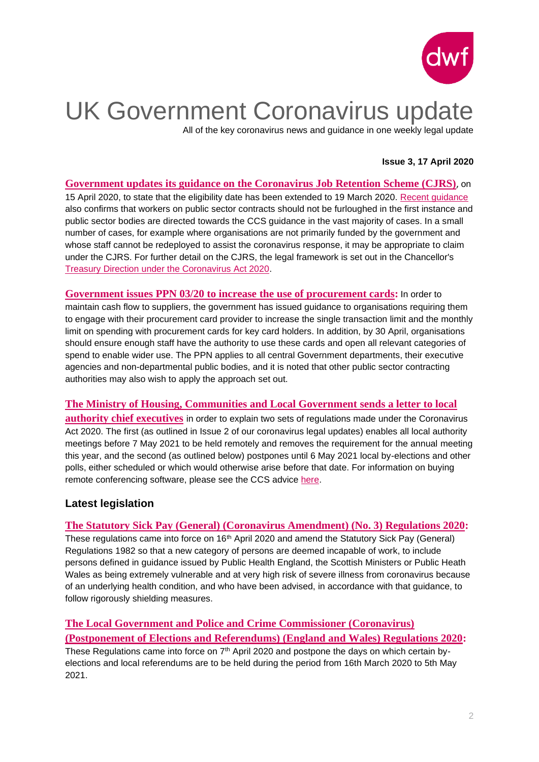

# UK Government Coronavirus update

All of the key coronavirus news and guidance in one weekly legal update

#### **Issue 3, 17 April 2020**

**Government updates [its guidance on the Coronavirus Job Retention Scheme \(CJRS\)](https://www.dwf.law/en/Legal-Insights/2020/April/Coronavirus-Job-Retention-Scheme-Eligibility-date-changed)**, on 15 April 2020, to state that the eligibility date has been extended to 19 March 2020. [Recent guidance](https://www.dwf.law/en/Legal-Insights/2020/April/The-latest-update-to-the-Coronavirus-Job-Retention-Scheme?utm_source=vuture&utm_medium=email&utm_campaign=%7bvx:campaign%20name%7d_%7bdate%7d) also confirms that workers on public sector contracts should not be furloughed in the first instance and public sector bodies are directed towards the CCS guidance in the vast majority of cases. In a small number of cases, for example where organisations are not primarily funded by the government and whose staff cannot be redeployed to assist the coronavirus response, it may be appropriate to claim under the CJRS. For further detail on the CJRS, the legal framework is set out in the Chancellor's [Treasury Direction under the Coronavirus Act 2020.](https://assets.publishing.service.gov.uk/government/uploads/system/uploads/attachment_data/file/879484/200414_CJRS_DIRECTION_-_33_FINAL_Signed.pdf)

**[Government issues PPN 03/20 to increase](https://assets.publishing.service.gov.uk/government/uploads/system/uploads/attachment_data/file/878333/Procurement_Policy_Note_0320_Use_of_Procurement_Cards__2_.pdf) the use of procurement cards:** In order to maintain cash flow to suppliers, the government has issued guidance to organisations requiring them to engage with their procurement card provider to increase the single transaction limit and the monthly limit on spending with procurement cards for key card holders. In addition, by 30 April, organisations should ensure enough staff have the authority to use these cards and open all relevant categories of spend to enable wider use. The PPN applies to all central Government departments, their executive agencies and non-departmental public bodies, and it is noted that other public sector contracting authorities may also wish to apply the approach set out.

### **[The Ministry of Housing, Communities and Local Government sends](https://assets.publishing.service.gov.uk/government/uploads/system/uploads/attachment_data/file/878332/Coronavirus__COVID-19__-_letter_to_councils_about_local_authority_meetings_and_postponement_of_elections.pdf) a letter to local**

**[authority chief executives](https://assets.publishing.service.gov.uk/government/uploads/system/uploads/attachment_data/file/878332/Coronavirus__COVID-19__-_letter_to_councils_about_local_authority_meetings_and_postponement_of_elections.pdf)** in order to explain two sets of regulations made under the Coronavirus Act 2020. The first (as outlined in Issue 2 of our coronavirus legal updates) enables all local authority meetings before 7 May 2021 to be held remotely and removes the requirement for the annual meeting this year, and the second (as outlined below) postpones until 6 May 2021 local by-elections and other polls, either scheduled or which would otherwise arise before that date. For information on buying remote conferencing software, please see the CCS advice [here.](https://www.crowncommercial.gov.uk/news/buying-conferencing-services-to-host-virtual-council-meetings-in-response-to-covid-19)

## **Latest legislation**

### **[The Statutory Sick Pay \(General\) \(Coronavirus Amendment\) \(No. 3\) Regulations 2020:](http://www.legislation.gov.uk/uksi/2020/427/introduction/made)**

These regulations came into force on 16<sup>th</sup> April 2020 and amend the Statutory Sick Pay (General) Regulations 1982 so that a new category of persons are deemed incapable of work, to include persons defined in guidance issued by Public Health England, the Scottish Ministers or Public Heath Wales as being extremely vulnerable and at very high risk of severe illness from coronavirus because of an underlying health condition, and who have been advised, in accordance with that guidance, to follow rigorously shielding measures.

## **[The Local Government and Police and Crime Commissioner \(Coronavirus\)](http://www.legislation.gov.uk/uksi/2020/395/introduction/made)**

**[\(Postponement of Elections and Referendums\) \(England and Wales\) Regulations 2020:](http://www.legislation.gov.uk/uksi/2020/395/introduction/made)**

These Regulations came into force on 7<sup>th</sup> April 2020 and postpone the days on which certain byelections and local referendums are to be held during the period from 16th March 2020 to 5th May 2021.